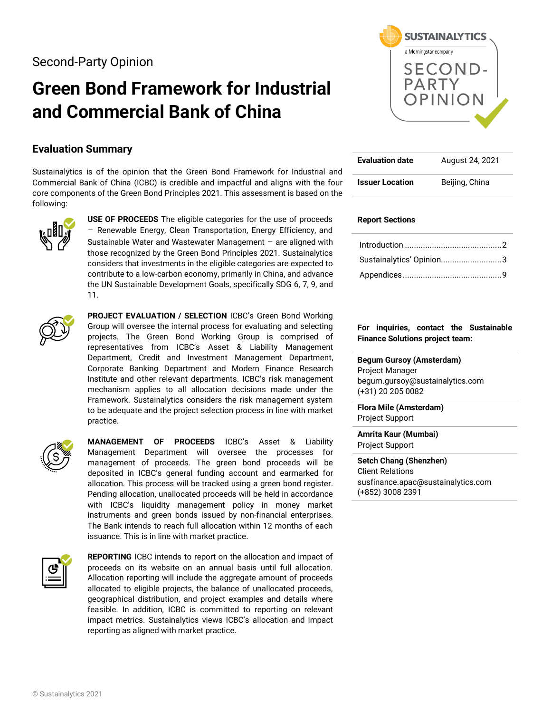Second-Party Opinion

# **Green Bond Framework for Industrial and Commercial Bank of China**

### **Evaluation Summary**

Sustainalytics is of the opinion that the Green Bond Framework for Industrial and Commercial Bank of China (ICBC) is credible and impactful and aligns with the four core components of the Green Bond Principles 2021. This assessment is based on the following:



**USE OF PROCEEDS** The eligible categories for the use of proceeds – Renewable Energy, Clean Transportation, Energy Efficiency, and Sustainable Water and Wastewater Management  $-$  are aligned with those recognized by the Green Bond Principles 2021. Sustainalytics considers that investments in the eligible categories are expected to contribute to a low-carbon economy, primarily in China, and advance the UN Sustainable Development Goals, specifically SDG 6, 7, 9, and 11.



**PROJECT EVALUATION / SELECTION** ICBC's Green Bond Working Group will oversee the internal process for evaluating and selecting projects. The Green Bond Working Group is comprised of representatives from ICBC's Asset & Liability Management Department, Credit and Investment Management Department, Corporate Banking Department and Modern Finance Research Institute and other relevant departments. ICBC's risk management mechanism applies to all allocation decisions made under the Framework. Sustainalytics considers the risk management system to be adequate and the project selection process in line with market practice.



**MANAGEMENT OF PROCEEDS** ICBC's Asset & Liability Management Department will oversee the processes for management of proceeds. The green bond proceeds will be deposited in ICBC's general funding account and earmarked for allocation. This process will be tracked using a green bond register. Pending allocation, unallocated proceeds will be held in accordance with ICBC's liquidity management policy in money market instruments and green bonds issued by non-financial enterprises. The Bank intends to reach full allocation within 12 months of each issuance. This is in line with market practice.



**REPORTING** ICBC intends to report on the allocation and impact of proceeds on its website on an annual basis until full allocation. Allocation reporting will include the aggregate amount of proceeds allocated to eligible projects, the balance of unallocated proceeds, geographical distribution, and project examples and details where feasible. In addition, ICBC is committed to reporting on relevant impact metrics. Sustainalytics views ICBC's allocation and impact reporting as aligned with market practice.



| <b>Evaluation date</b> | August 24, 2021 |
|------------------------|-----------------|
| <b>Issuer Location</b> | Beijing, China  |

#### **Report Sections**

| Sustainalytics' Opinion3 |  |
|--------------------------|--|
|                          |  |

#### **For inquiries, contact the Sustainable Finance Solutions project team:**

**Begum Gursoy (Amsterdam)** Project Manager begum.gursoy@sustainalytics.com (+31) 20 205 0082

**Flora Mile (Amsterdam)** Project Support

**Amrita Kaur (Mumbai)** Project Support

**Setch Chang (Shenzhen)** Client Relations susfinance.apac@sustainalytics.com (+852) 3008 2391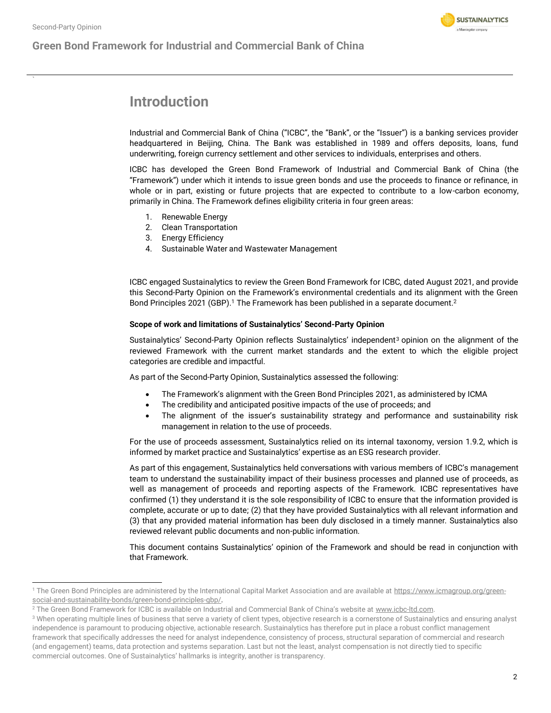### <span id="page-1-0"></span>**Green Bond Framework for Industrial and Commercial Bank of China**



### **Introduction**

Industrial and Commercial Bank of China ("ICBC", the "Bank", or the "Issuer") is a banking services provider headquartered in Beijing, China. The Bank was established in 1989 and offers deposits, loans, fund underwriting, foreign currency settlement and other services to individuals, enterprises and others.

ICBC has developed the Green Bond Framework of Industrial and Commercial Bank of China (the "Framework") under which it intends to issue green bonds and use the proceeds to finance or refinance, in whole or in part, existing or future projects that are expected to contribute to a low-carbon economy, primarily in China. The Framework defines eligibility criteria in four green areas:

- 1. Renewable Energy
- 2. Clean Transportation
- 3. Energy Efficiency
- 4. Sustainable Water and Wastewater Management

ICBC engaged Sustainalytics to review the Green Bond Framework for ICBC, dated August 2021, and provide this Second-Party Opinion on the Framework's environmental credentials and its alignment with the Green Bond Principles 2021 (GBP).<sup>1</sup> The Framework has been published in a separate document.<sup>2</sup>

#### **Scope of work and limitations of Sustainalytics' Second-Party Opinion**

Sustainalytics' Second-Party Opinion reflects Sustainalytics' independent<sup>3</sup> opinion on the alignment of the reviewed Framework with the current market standards and the extent to which the eligible project categories are credible and impactful.

As part of the Second-Party Opinion, Sustainalytics assessed the following:

- The Framework's alignment with the Green Bond Principles 2021, as administered by ICMA
- The credibility and anticipated positive impacts of the use of proceeds; and
- The alignment of the issuer's sustainability strategy and performance and sustainability risk management in relation to the use of proceeds.

For the use of proceeds assessment, Sustainalytics relied on its internal taxonomy, version 1.9.2, which is informed by market practice and Sustainalytics' expertise as an ESG research provider.

As part of this engagement, Sustainalytics held conversations with various members of ICBC's management team to understand the sustainability impact of their business processes and planned use of proceeds, as well as management of proceeds and reporting aspects of the Framework. ICBC representatives have confirmed (1) they understand it is the sole responsibility of ICBC to ensure that the information provided is complete, accurate or up to date; (2) that they have provided Sustainalytics with all relevant information and (3) that any provided material information has been duly disclosed in a timely manner. Sustainalytics also reviewed relevant public documents and non-public information.

This document contains Sustainalytics' opinion of the Framework and should be read in conjunction with that Framework.

<sup>&</sup>lt;sup>1</sup> The Green Bond Principles are administered by the International Capital Market Association and are available at [https://www.icmagroup.org/green](https://www.icmagroup.org/green-social-and-sustainability-bonds/green-bond-principles-gbp/)[social-and-sustainability-bonds/green-bond-principles-gbp/.](https://www.icmagroup.org/green-social-and-sustainability-bonds/green-bond-principles-gbp/)

<sup>&</sup>lt;sup>2</sup> The Green Bond Framework for ICBC is available on Industrial and Commercial Bank of China's website at www.icbc-ltd.com.

<sup>&</sup>lt;sup>3</sup> When operating multiple lines of business that serve a variety of client types, objective research is a cornerstone of Sustainalytics and ensuring analyst independence is paramount to producing objective, actionable research. Sustainalytics has therefore put in place a robust conflict management framework that specifically addresses the need for analyst independence, consistency of process, structural separation of commercial and research (and engagement) teams, data protection and systems separation. Last but not the least, analyst compensation is not directly tied to specific commercial outcomes. One of Sustainalytics' hallmarks is integrity, another is transparency.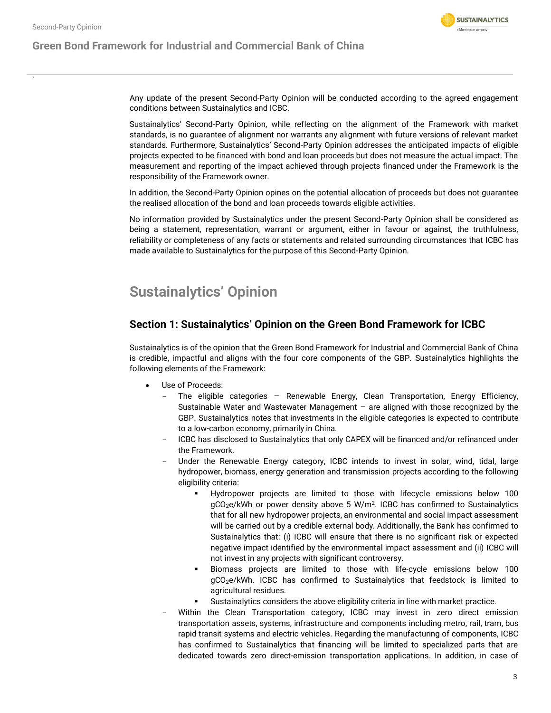**Green Bond Framework for Industrial and Commercial Bank of China**



Any update of the present Second-Party Opinion will be conducted according to the agreed engagement conditions between Sustainalytics and ICBC.

Sustainalytics' Second-Party Opinion, while reflecting on the alignment of the Framework with market standards, is no guarantee of alignment nor warrants any alignment with future versions of relevant market standards. Furthermore, Sustainalytics' Second-Party Opinion addresses the anticipated impacts of eligible projects expected to be financed with bond and loan proceeds but does not measure the actual impact. The measurement and reporting of the impact achieved through projects financed under the Framework is the responsibility of the Framework owner.

In addition, the Second-Party Opinion opines on the potential allocation of proceeds but does not guarantee the realised allocation of the bond and loan proceeds towards eligible activities.

No information provided by Sustainalytics under the present Second-Party Opinion shall be considered as being a statement, representation, warrant or argument, either in favour or against, the truthfulness, reliability or completeness of any facts or statements and related surrounding circumstances that ICBC has made available to Sustainalytics for the purpose of this Second-Party Opinion.

## <span id="page-2-0"></span>**Sustainalytics' Opinion**

### **Section 1: Sustainalytics' Opinion on the Green Bond Framework for ICBC**

Sustainalytics is of the opinion that the Green Bond Framework for Industrial and Commercial Bank of China is credible, impactful and aligns with the four core components of the GBP. Sustainalytics highlights the following elements of the Framework:

- Use of Proceeds:
	- The eligible categories Renewable Energy, Clean Transportation, Energy Efficiency, Sustainable Water and Wastewater Management  $-$  are aligned with those recognized by the GBP. Sustainalytics notes that investments in the eligible categories is expected to contribute to a low-carbon economy, primarily in China.
	- ICBC has disclosed to Sustainalytics that only CAPEX will be financed and/or refinanced under the Framework.
	- Under the Renewable Energy category, ICBC intends to invest in solar, wind, tidal, large hydropower, biomass, energy generation and transmission projects according to the following eligibility criteria:
		- Hydropower projects are limited to those with lifecycle emissions below 100 gCO<sub>2</sub>e/kWh or power density above 5 W/m<sup>2</sup>. ICBC has confirmed to Sustainalytics that for all new hydropower projects, an environmental and social impact assessment will be carried out by a credible external body. Additionally, the Bank has confirmed to Sustainalytics that: (i) ICBC will ensure that there is no significant risk or expected negative impact identified by the environmental impact assessment and (ii) ICBC will not invest in any projects with significant controversy.
		- Biomass projects are limited to those with life-cycle emissions below 100 gCO2e/kWh. ICBC has confirmed to Sustainalytics that feedstock is limited to agricultural residues.
		- Sustainalytics considers the above eligibility criteria in line with market practice.
	- Within the Clean Transportation category, ICBC may invest in zero direct emission transportation assets, systems, infrastructure and components including metro, rail, tram, bus rapid transit systems and electric vehicles. Regarding the manufacturing of components, ICBC has confirmed to Sustainalytics that financing will be limited to specialized parts that are dedicated towards zero direct-emission transportation applications. In addition, in case of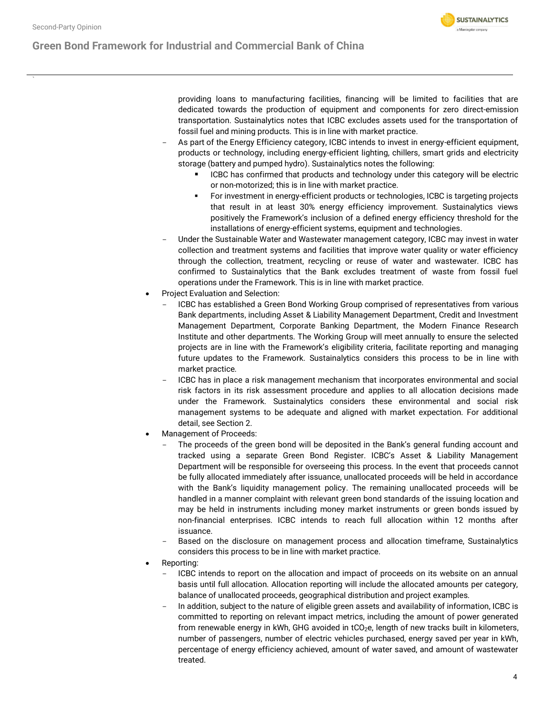

providing loans to manufacturing facilities, financing will be limited to facilities that are dedicated towards the production of equipment and components for zero direct-emission transportation. Sustainalytics notes that ICBC excludes assets used for the transportation of fossil fuel and mining products. This is in line with market practice.

**SUSTAINALYTICS** a Morningstar company

- As part of the Energy Efficiency category, ICBC intends to invest in energy-efficient equipment, products or technology, including energy-efficient lighting, chillers, smart grids and electricity storage (battery and pumped hydro). Sustainalytics notes the following:
	- **■** ICBC has confirmed that products and technology under this category will be electric or non-motorized; this is in line with market practice.
	- For investment in energy-efficient products or technologies, ICBC is targeting projects that result in at least 30% energy efficiency improvement. Sustainalytics views positively the Framework's inclusion of a defined energy efficiency threshold for the installations of energy-efficient systems, equipment and technologies.
- Under the Sustainable Water and Wastewater management category, ICBC may invest in water collection and treatment systems and facilities that improve water quality or water efficiency through the collection, treatment, recycling or reuse of water and wastewater. ICBC has confirmed to Sustainalytics that the Bank excludes treatment of waste from fossil fuel operations under the Framework. This is in line with market practice.
- Project Evaluation and Selection:
	- ICBC has established a Green Bond Working Group comprised of representatives from various Bank departments, including Asset & Liability Management Department, Credit and Investment Management Department, Corporate Banking Department, the Modern Finance Research Institute and other departments. The Working Group will meet annually to ensure the selected projects are in line with the Framework's eligibility criteria, facilitate reporting and managing future updates to the Framework. Sustainalytics considers this process to be in line with market practice.
	- ICBC has in place a risk management mechanism that incorporates environmental and social risk factors in its risk assessment procedure and applies to all allocation decisions made under the Framework. Sustainalytics considers these environmental and social risk management systems to be adequate and aligned with market expectation. For additional detail, see Section 2.
- Management of Proceeds:
	- The proceeds of the green bond will be deposited in the Bank's general funding account and tracked using a separate Green Bond Register. ICBC's Asset & Liability Management Department will be responsible for overseeing this process. In the event that proceeds cannot be fully allocated immediately after issuance, unallocated proceeds will be held in accordance with the Bank's liquidity management policy. The remaining unallocated proceeds will be handled in a manner complaint with relevant green bond standards of the issuing location and may be held in instruments including money market instruments or green bonds issued by non-financial enterprises. ICBC intends to reach full allocation within 12 months after issuance.
	- Based on the disclosure on management process and allocation timeframe, Sustainalytics considers this process to be in line with market practice.
- Reporting:
	- ICBC intends to report on the allocation and impact of proceeds on its website on an annual basis until full allocation. Allocation reporting will include the allocated amounts per category, balance of unallocated proceeds, geographical distribution and project examples.
	- In addition, subject to the nature of eligible green assets and availability of information, ICBC is committed to reporting on relevant impact metrics, including the amount of power generated from renewable energy in kWh, GHG avoided in  $tCO<sub>2</sub>e$ , length of new tracks built in kilometers, number of passengers, number of electric vehicles purchased, energy saved per year in kWh, percentage of energy efficiency achieved, amount of water saved, and amount of wastewater treated.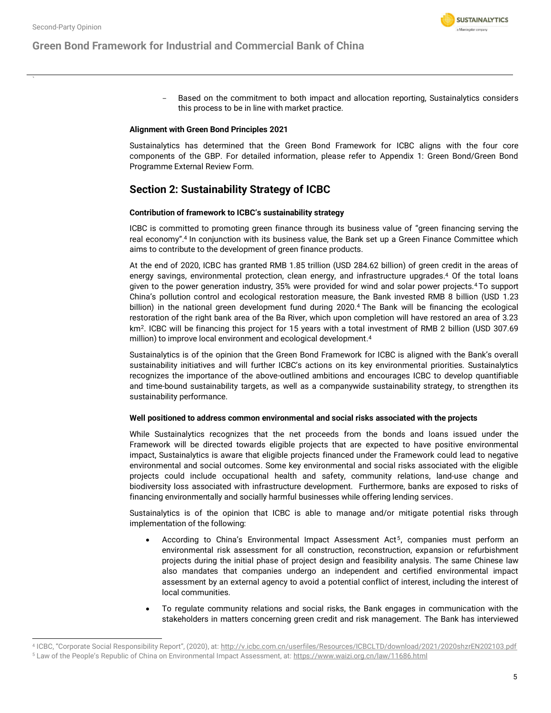- **SUSTAINALYTICS** a Morningstar company
- Based on the commitment to both impact and allocation reporting, Sustainalytics considers this process to be in line with market practice.

#### **Alignment with Green Bond Principles 2021**

Sustainalytics has determined that the Green Bond Framework for ICBC aligns with the four core components of the GBP. For detailed information, please refer to Appendix 1: Green Bond/Green Bond Programme External Review Form.

### **Section 2: Sustainability Strategy of ICBC**

#### **Contribution of framework to ICBC's sustainability strategy**

<span id="page-4-0"></span>ICBC is committed to promoting green finance through its business value of "green financing serving the real economy".<sup>4</sup> In conjunction with its business value, the Bank set up a Green Finance Committee which aims to contribute to the development of green finance products.

At the end of 2020, ICBC has granted RMB 1.85 trillion (USD 284.62 billion) of green credit in the areas of energy savings, environmental protection, clean energy, and infrastructure upgrade[s.](#page-4-0) <sup>4</sup> Of the total loans given to the power generation industry, 35% were provided for wind and solar power project[s.](#page-4-0)<sup>4</sup> To support China's pollution control and ecological restoration measure, the Bank invested RMB 8 billion (USD 1.23 billion) in the national green development fund during 202[0.](#page-4-0)<sup>4</sup> The Bank will be financing the ecological restoration of the right bank area of the Ba River, which upon completion will have restored an area of 3.23 km<sup>2</sup>. ICBC will be financing this project for 15 years with a total investment of RMB 2 billion (USD 307.69 million) to improve local environment and ecological development[.](#page-4-0) 4

Sustainalytics is of the opinion that the Green Bond Framework for ICBC is aligned with the Bank's overall sustainability initiatives and will further ICBC's actions on its key environmental priorities. Sustainalytics recognizes the importance of the above-outlined ambitions and encourages ICBC to develop quantifiable and time-bound sustainability targets, as well as a companywide sustainability strategy, to strengthen its sustainability performance.

#### **Well positioned to address common environmental and social risks associated with the projects**

While Sustainalytics recognizes that the net proceeds from the bonds and loans issued under the Framework will be directed towards eligible projects that are expected to have positive environmental impact, Sustainalytics is aware that eligible projects financed under the Framework could lead to negative environmental and social outcomes. Some key environmental and social risks associated with the eligible projects could include occupational health and safety, community relations, land-use change and biodiversity loss associated with infrastructure development. Furthermore, banks are exposed to risks of financing environmentally and socially harmful businesses while offering lending services.

Sustainalytics is of the opinion that ICBC is able to manage and/or mitigate potential risks through implementation of the following:

- According to China's Environmental Impact Assessment Act<sup>5</sup>, companies must perform an environmental risk assessment for all construction, reconstruction, expansion or refurbishment projects during the initial phase of project design and feasibility analysis. The same Chinese law also mandates that companies undergo an independent and certified environmental impact assessment by an external agency to avoid a potential conflict of interest, including the interest of local communities.
- To regulate community relations and social risks, the Bank engages in communication with the stakeholders in matters concerning green credit and risk management. The Bank has interviewed

<sup>4</sup> ICBC, "Corporate Social Responsibility Report", (2020), at: <http://v.icbc.com.cn/userfiles/Resources/ICBCLTD/download/2021/2020shzrEN202103.pdf> <sup>5</sup> Law of the People's Republic of China on Environmental Impact Assessment, at: <https://www.waizi.org.cn/law/11686.html>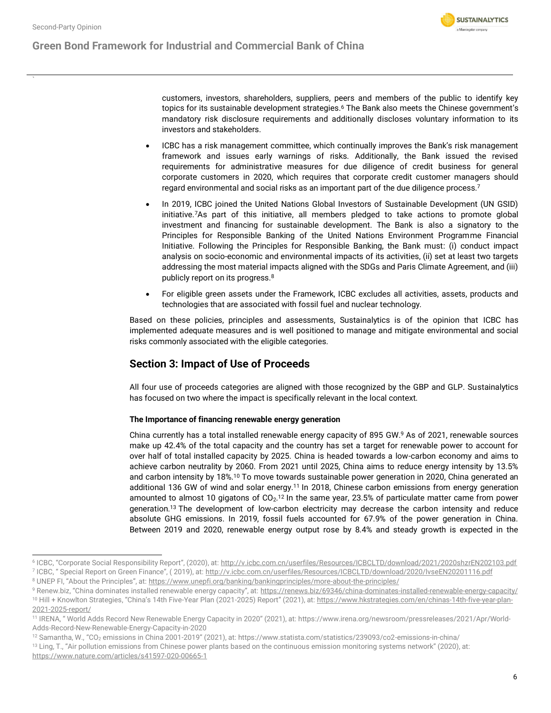**Green Bond Framework for Industrial and Commercial Bank of China**

<span id="page-5-0"></span>

customers, investors, shareholders, suppliers, peers and members of the public to identify key topics for its sustainable development strategies.<sup>6</sup> The Bank also meets the Chinese government's mandatory risk disclosure requirements and additionally discloses voluntary information to its investors and stakeholders.

- ICBC has a risk management committee, which continually improves the Bank's risk management framework and issues early warnings of risks. Additionally, the Bank issued the revised requirements for administrative measures for due diligence of credit business for general corporate customers in 2020, which requires that corporate credit customer managers should regard environmental and social risks as an important part of the due diligence process.<sup>7</sup>
- In 2019, ICBC joined the United Nations Global Investors of Sustainable Development (UN GSID) initiative.<sup>7</sup>[A](#page-5-0)s part of this initiative, all members pledged to take actions to promote global investment and financing for sustainable development. The Bank is also a signatory to the Principles for Responsible Banking of the United Nations Environment Programme Financial Initiative. Following the Principles for Responsible Banking, the Bank must: (i) conduct impact analysis on socio-economic and environmental impacts of its activities, (ii) set at least two targets addressing the most material impacts aligned with the SDGs and Paris Climate Agreement, and (iii) publicly report on its progress.<sup>8</sup>
- For eligible green assets under the Framework, ICBC excludes all activities, assets, products and technologies that are associated with fossil fuel and nuclear technology.

Based on these policies, principles and assessments, Sustainalytics is of the opinion that ICBC has implemented adequate measures and is well positioned to manage and mitigate environmental and social risks commonly associated with the eligible categories.

### **Section 3: Impact of Use of Proceeds**

All four use of proceeds categories are aligned with those recognized by the GBP and GLP. Sustainalytics has focused on two where the impact is specifically relevant in the local context.

### **The Importance of financing renewable energy generation**

China currently has a total installed renewable energy capacity of 895 GW.<sup>9</sup> As of 2021, renewable sources make up 42.4% of the total capacity and the country has set a target for renewable power to account for over half of total installed capacity by 2025. China is headed towards a low-carbon economy and aims to achieve carbon neutrality by 2060. From 2021 until 2025, China aims to reduce energy intensity by 13.5% and carbon intensity by 18%.<sup>10</sup> To move towards sustainable power generation in 2020, China generated an additional 136 GW of wind and solar energy.<sup>11</sup> In 2018, Chinese carbon emissions from energy generation amounted to almost 10 gigatons of CO<sub>2</sub>.<sup>12</sup> In the same year, 23.5% of particulate matter came from power generation.<sup>13</sup> The development of low-carbon electricity may decrease the carbon intensity and reduce absolute GHG emissions. In 2019, fossil fuels accounted for 67.9% of the power generation in China. Between 2019 and 2020, renewable energy output rose by 8.4% and steady growth is expected in the

<sup>&</sup>lt;sup>6</sup> ICBC, "Corporate Social Responsibility Report", (2020), at: <u><http://v.icbc.com.cn/userfiles/Resources/ICBCLTD/download/2021/2020shzrEN202103.pdf></u> <sup>7</sup> ICBC, " Special Report on Green Finance", ( 2019), at: <u>http://v.icbc.com.cn/userfiles/Resources/ICBCLTD/download/2020/IvseEN20201116.pdf</u>

<sup>&</sup>lt;sup>8</sup> UNEP FI, "About the Principles", at: <https://www.unepfi.org/banking/bankingprinciples/more-about-the-principles/>

<sup>9</sup> Renew.biz, "China dominates installed renewable energy capacity", at: <https://renews.biz/69346/china-dominates-installed-renewable-energy-capacity/> 10 Hill + Knowlton Strategies, "China's 14th Five-Year Plan (2021-2025) Report" (2021), at: [https://www.hkstrategies.com/en/chinas-14th-five-year-plan-](https://www.hkstrategies.com/en/chinas-14th-five-year-plan-2021-2025-report/)[2021-2025-report/](https://www.hkstrategies.com/en/chinas-14th-five-year-plan-2021-2025-report/)

<sup>11</sup> IRENA, " World Adds Record New Renewable Energy Capacity in 2020" (2021), at: https://www.irena.org/newsroom/pressreleases/2021/Apr/World-Adds-Record-New-Renewable-Energy-Capacity-in-2020

<sup>&</sup>lt;sup>12</sup> Samantha, W., "CO<sub>2</sub> emissions in China 2001-2019" (2021), at: https://www.statista.com/statistics/239093/co2-emissions-in-china/

<sup>&</sup>lt;sup>13</sup> Ling, T., "Air pollution emissions from Chinese power plants based on the continuous emission monitoring systems network" (2020), at: <https://www.nature.com/articles/s41597-020-00665-1>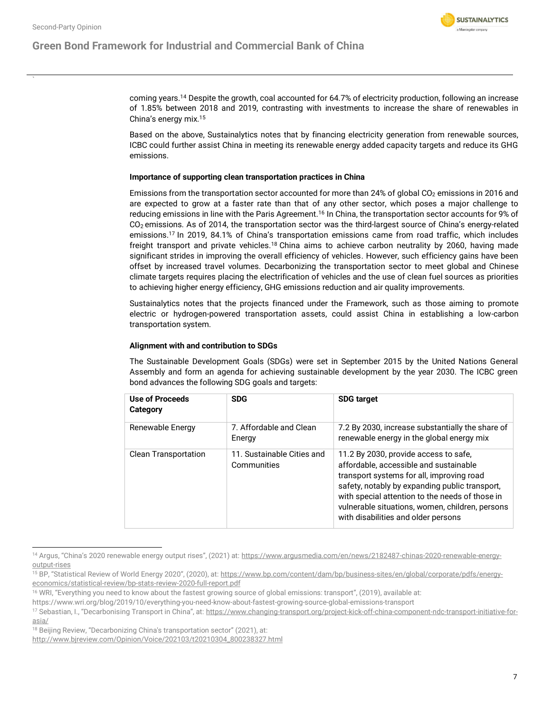### **Green Bond Framework for Industrial and Commercial Bank of China**



coming years.<sup>14</sup> Despite the growth, coal accounted for 64.7% of electricity production, following an increase of 1.85% between 2018 and 2019, contrasting with investments to increase the share of renewables in China's energy mix.<sup>15</sup>

Based on the above, Sustainalytics notes that by financing electricity generation from renewable sources, ICBC could further assist China in meeting its renewable energy added capacity targets and reduce its GHG emissions.

#### **Importance of supporting clean transportation practices in China**

Emissions from the transportation sector accounted for more than 24% of global  $CO<sub>2</sub>$  emissions in 2016 and are expected to grow at a faster rate than that of any other sector, which poses a major challenge to reducing emissions in line with the Paris Agreement.<sup>16</sup> In China, the transportation sector accounts for 9% of  $CO<sub>2</sub>$  emissions. As of 2014, the transportation sector was the third-largest source of China's energy-related emissions.<sup>17</sup> In 2019, 84.1% of China's transportation emissions came from road traffic, which includes freight transport and private vehicles.<sup>18</sup> China aims to achieve carbon neutrality by 2060, having made significant strides in improving the overall efficiency of vehicles. However, such efficiency gains have been offset by increased travel volumes. Decarbonizing the transportation sector to meet global and Chinese climate targets requires placing the electrification of vehicles and the use of clean fuel sources as priorities to achieving higher energy efficiency, GHG emissions reduction and air quality improvements.

Sustainalytics notes that the projects financed under the Framework, such as those aiming to promote electric or hydrogen-powered transportation assets, could assist China in establishing a low-carbon transportation system.

#### **Alignment with and contribution to SDGs**

The Sustainable Development Goals (SDGs) were set in September 2015 by the United Nations General Assembly and form an agenda for achieving sustainable development by the year 2030. The ICBC green bond advances the following SDG goals and targets:

| <b>Use of Proceeds</b><br>Category | <b>SDG</b>                                | <b>SDG target</b>                                                                                                                                                                                                                                                                                                           |
|------------------------------------|-------------------------------------------|-----------------------------------------------------------------------------------------------------------------------------------------------------------------------------------------------------------------------------------------------------------------------------------------------------------------------------|
| Renewable Energy                   | 7. Affordable and Clean<br>Energy         | 7.2 By 2030, increase substantially the share of<br>renewable energy in the global energy mix                                                                                                                                                                                                                               |
| <b>Clean Transportation</b>        | 11. Sustainable Cities and<br>Communities | 11.2 By 2030, provide access to safe,<br>affordable, accessible and sustainable<br>transport systems for all, improving road<br>safety, notably by expanding public transport,<br>with special attention to the needs of those in<br>vulnerable situations, women, children, persons<br>with disabilities and older persons |

<sup>14</sup> Argus, "China's 2020 renewable energy output rises", (2021) at: [https://www.argusmedia.com/en/news/2182487-chinas-2020-renewable-energy](https://www.argusmedia.com/en/news/2182487-chinas-2020-renewable-energy-output-rises)[output-rises](https://www.argusmedia.com/en/news/2182487-chinas-2020-renewable-energy-output-rises)

<sup>&</sup>lt;sup>15</sup> BP, "Statistical Review of World Energy 2020", (2020), at: [https://www.bp.com/content/dam/bp/business-sites/en/global/corporate/pdfs/energy](https://www.bp.com/content/dam/bp/business-sites/en/global/corporate/pdfs/energy-economics/statistical-review/bp-stats-review-2020-full-report.pdf)[economics/statistical-review/bp-stats-review-2020-full-report.pdf](https://www.bp.com/content/dam/bp/business-sites/en/global/corporate/pdfs/energy-economics/statistical-review/bp-stats-review-2020-full-report.pdf)

<sup>&</sup>lt;sup>16</sup> WRI, "Everything you need to know about the fastest growing source of global emissions: transport", (2019), available at:

https://www.wri.org/blog/2019/10/everything-you-need-know-about-fastest-growing-source-global-emissions-transport

<sup>17</sup> Sebastian, I., "Decarbonising Transport in China", at: [https://www.changing-transport.org/project-kick-off-china-component-ndc-transport-initiative-for](https://www.changing-transport.org/project-kick-off-china-component-ndc-transport-initiative-for-asia/)[asia/](https://www.changing-transport.org/project-kick-off-china-component-ndc-transport-initiative-for-asia/)

<sup>&</sup>lt;sup>18</sup> Beijing Review, "Decarbonizing China's transportation sector" (2021), at:

[http://www.bjreview.com/Opinion/Voice/202103/t20210304\\_800238327.html](http://www.bjreview.com/Opinion/Voice/202103/t20210304_800238327.html)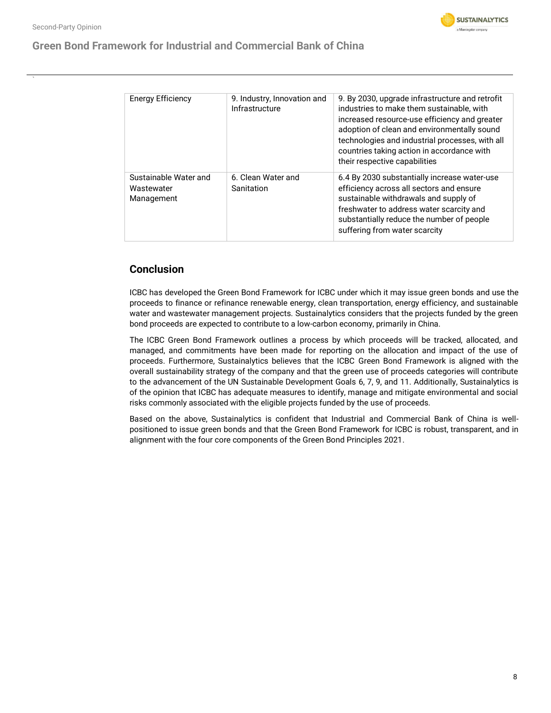### **Green Bond Framework for Industrial and Commercial Bank of China**

| <b>Energy Efficiency</b>                          | 9. Industry, Innovation and<br>Infrastructure | 9. By 2030, upgrade infrastructure and retrofit<br>industries to make them sustainable, with<br>increased resource-use efficiency and greater<br>adoption of clean and environmentally sound<br>technologies and industrial processes, with all<br>countries taking action in accordance with<br>their respective capabilities |
|---------------------------------------------------|-----------------------------------------------|--------------------------------------------------------------------------------------------------------------------------------------------------------------------------------------------------------------------------------------------------------------------------------------------------------------------------------|
| Sustainable Water and<br>Wastewater<br>Management | 6. Clean Water and<br>Sanitation              | 6.4 By 2030 substantially increase water-use<br>efficiency across all sectors and ensure<br>sustainable withdrawals and supply of<br>freshwater to address water scarcity and<br>substantially reduce the number of people<br>suffering from water scarcity                                                                    |

### **Conclusion**

ICBC has developed the Green Bond Framework for ICBC under which it may issue green bonds and use the proceeds to finance or refinance renewable energy, clean transportation, energy efficiency, and sustainable water and wastewater management projects. Sustainalytics considers that the projects funded by the green bond proceeds are expected to contribute to a low-carbon economy, primarily in China.

The ICBC Green Bond Framework outlines a process by which proceeds will be tracked, allocated, and managed, and commitments have been made for reporting on the allocation and impact of the use of proceeds. Furthermore, Sustainalytics believes that the ICBC Green Bond Framework is aligned with the overall sustainability strategy of the company and that the green use of proceeds categories will contribute to the advancement of the UN Sustainable Development Goals 6, 7, 9, and 11. Additionally, Sustainalytics is of the opinion that ICBC has adequate measures to identify, manage and mitigate environmental and social risks commonly associated with the eligible projects funded by the use of proceeds.

Based on the above, Sustainalytics is confident that Industrial and Commercial Bank of China is wellpositioned to issue green bonds and that the Green Bond Framework for ICBC is robust, transparent, and in alignment with the four core components of the Green Bond Principles 2021.

**SUSTAINALYTICS** a Morningstar company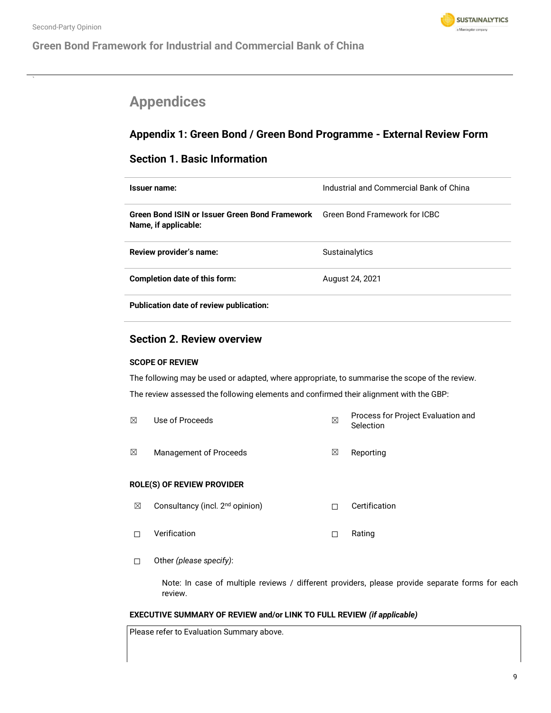

## <span id="page-8-0"></span>**Appendices**

### **Appendix 1: Green Bond / Green Bond Programme - External Review Form**

### **Section 1. Basic Information**

| Issuer name:                                                                                                | Industrial and Commercial Bank of China |
|-------------------------------------------------------------------------------------------------------------|-----------------------------------------|
| <b>Green Bond ISIN or Issuer Green Bond Framework</b> Green Bond Framework for ICBC<br>Name, if applicable: |                                         |
| Review provider's name:                                                                                     | <b>Sustainalytics</b>                   |
| Completion date of this form:                                                                               | August 24, 2021                         |
| Publication date of review publication:                                                                     |                                         |

### **Section 2. Review overview**

### **SCOPE OF REVIEW**

The following may be used or adapted, where appropriate, to summarise the scope of the review. The review assessed the following elements and confirmed their alignment with the GBP:

| $\boxtimes$ | Use of Proceeds        | ⊠ | Process for Project Evaluation and<br>Selection |
|-------------|------------------------|---|-------------------------------------------------|
| ⊠           | Management of Proceeds | ⊠ | Reporting                                       |

### **ROLE(S) OF REVIEW PROVIDER**

- ☒ Consultancy (incl. 2nd opinion) ☐ Certification
- ☐ Verification ☐ Rating
- ☐ Other *(please specify)*:

Note: In case of multiple reviews / different providers, please provide separate forms for each review.

### **EXECUTIVE SUMMARY OF REVIEW and/or LINK TO FULL REVIEW** *(if applicable)*

Please refer to Evaluation Summary above.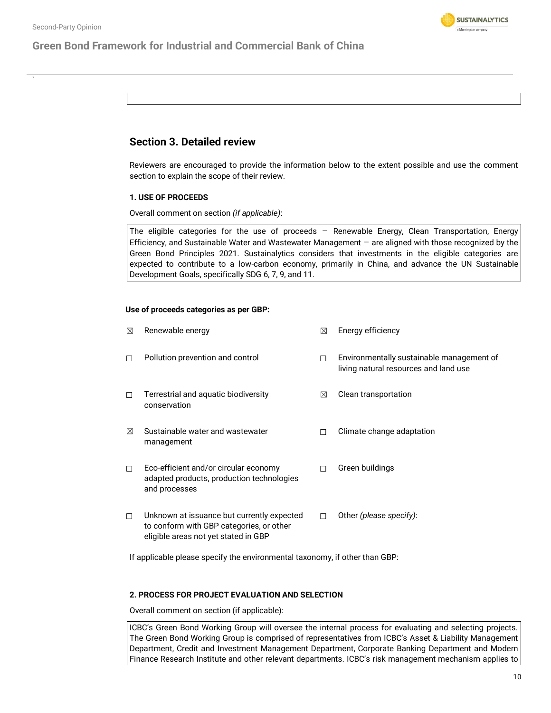

### **Green Bond Framework for Industrial and Commercial Bank of China**

### **Section 3. Detailed review**

Reviewers are encouraged to provide the information below to the extent possible and use the comment section to explain the scope of their review.

#### **1. USE OF PROCEEDS**

Overall comment on section *(if applicable)*:

The eligible categories for the use of proceeds – Renewable Energy, Clean Transportation, Energy Efficiency, and Sustainable Water and Wastewater Management – are aligned with those recognized by the Green Bond Principles 2021. Sustainalytics considers that investments in the eligible categories are expected to contribute to a low-carbon economy, primarily in China, and advance the UN Sustainable Development Goals, specifically SDG 6, 7, 9, and 11.

#### **Use of proceeds categories as per GBP:**

| ⊠      | Renewable energy                                                                                                               | ⊠ | Energy efficiency                                                                  |
|--------|--------------------------------------------------------------------------------------------------------------------------------|---|------------------------------------------------------------------------------------|
| П.     | Pollution prevention and control                                                                                               | п | Environmentally sustainable management of<br>living natural resources and land use |
| П.     | Terrestrial and aquatic biodiversity<br>conservation                                                                           | ⊠ | Clean transportation                                                               |
| ⊠      | Sustainable water and wastewater<br>management                                                                                 |   | Climate change adaptation                                                          |
| $\Box$ | Eco-efficient and/or circular economy<br>adapted products, production technologies<br>and processes                            |   | Green buildings                                                                    |
| $\Box$ | Unknown at issuance but currently expected<br>to conform with GBP categories, or other<br>eligible areas not yet stated in GBP |   | Other (please specify):                                                            |

If applicable please specify the environmental taxonomy, if other than GBP:

### **2. PROCESS FOR PROJECT EVALUATION AND SELECTION**

Overall comment on section (if applicable):

ICBC's Green Bond Working Group will oversee the internal process for evaluating and selecting projects. The Green Bond Working Group is comprised of representatives from ICBC's Asset & Liability Management Department, Credit and Investment Management Department, Corporate Banking Department and Modern Finance Research Institute and other relevant departments. ICBC's risk management mechanism applies to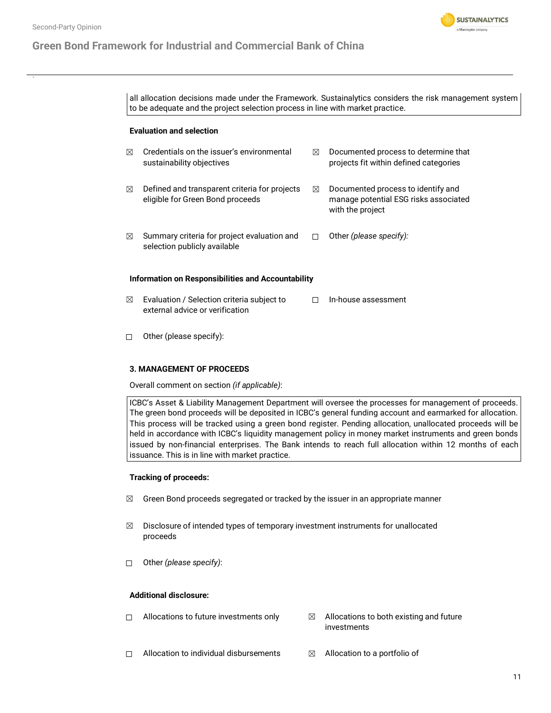### **Green Bond Framework for Industrial and Commercial Bank of China**



all allocation decisions made under the Framework. Sustainalytics considers the risk management system to be adequate and the project selection process in line with market practice.

#### **Evaluation and selection**

| ⊠ | Credentials on the issuer's environmental<br>sustainability objectives            | $\bowtie$ | Documented process to determine that<br>projects fit within defined categories                  |
|---|-----------------------------------------------------------------------------------|-----------|-------------------------------------------------------------------------------------------------|
| ⊠ | Defined and transparent criteria for projects<br>eligible for Green Bond proceeds | $\bowtie$ | Documented process to identify and<br>manage potential ESG risks associated<br>with the project |
| ⊠ | Summary criteria for project evaluation and<br>selection publicly available       |           | Other (please specify):                                                                         |
|   | Information on Responsibilities and Accountability                                |           |                                                                                                 |
| ⊠ | Evaluation / Selection criteria subject to<br>external advice or verification     |           | In-house assessment                                                                             |

☐ Other (please specify):

### **3. MANAGEMENT OF PROCEEDS**

Overall comment on section *(if applicable)*:

ICBC's Asset & Liability Management Department will oversee the processes for management of proceeds. The green bond proceeds will be deposited in ICBC's general funding account and earmarked for allocation. This process will be tracked using a green bond register. Pending allocation, unallocated proceeds will be held in accordance with ICBC's liquidity management policy in money market instruments and green bonds issued by non-financial enterprises. The Bank intends to reach full allocation within 12 months of each issuance. This is in line with market practice.

#### **Tracking of proceeds:**

- $\boxtimes$  Green Bond proceeds segregated or tracked by the issuer in an appropriate manner
- $\boxtimes$  Disclosure of intended types of temporary investment instruments for unallocated proceeds
- ☐ Other *(please specify)*:

#### **Additional disclosure:**

- $\Box$  Allocations to future investments only  $\boxtimes$  Allocations to both existing and future investments
- □ Allocation to individual disbursements <sub>△</sub> △ Allocation to a portfolio of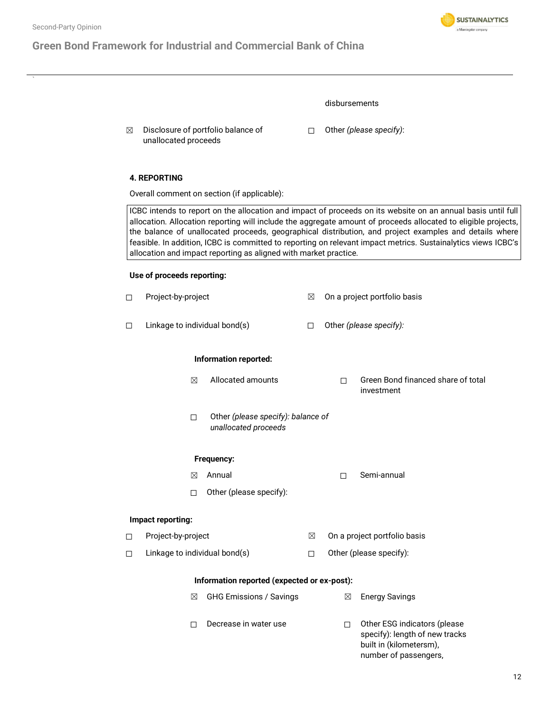### **Green Bond Framework for Industrial and Commercial Bank of China**



 $\boxtimes$  Disclosure of portfolio balance of unallocated proceeds

☐ Other *(please specify)*:

### **4. REPORTING**

Overall comment on section (if applicable):

ICBC intends to report on the allocation and impact of proceeds on its website on an annual basis until full allocation. Allocation reporting will include the aggregate amount of proceeds allocated to eligible projects, the balance of unallocated proceeds, geographical distribution, and project examples and details where feasible. In addition, ICBC is committed to reporting on relevant impact metrics. Sustainalytics views ICBC's allocation and impact reporting as aligned with market practice.

#### **Use of proceeds reporting:**

| $\Box$ | Project-by-project            |                                                            | ⊠      |        | On a project portfolio basis                                                                                       |
|--------|-------------------------------|------------------------------------------------------------|--------|--------|--------------------------------------------------------------------------------------------------------------------|
| □      | Linkage to individual bond(s) |                                                            | П      |        | Other (please specify):                                                                                            |
|        |                               | Information reported:                                      |        |        |                                                                                                                    |
|        | ⊠                             | Allocated amounts                                          |        | П      | Green Bond financed share of total<br>investment                                                                   |
|        | П                             | Other (please specify): balance of<br>unallocated proceeds |        |        |                                                                                                                    |
|        |                               | Frequency:                                                 |        |        |                                                                                                                    |
|        | ⊠                             | Annual                                                     |        | $\Box$ | Semi-annual                                                                                                        |
|        | П                             | Other (please specify):                                    |        |        |                                                                                                                    |
|        | Impact reporting:             |                                                            |        |        |                                                                                                                    |
| $\Box$ | Project-by-project            |                                                            | ⊠      |        | On a project portfolio basis                                                                                       |
| $\Box$ | Linkage to individual bond(s) |                                                            | $\Box$ |        | Other (please specify):                                                                                            |
|        |                               | Information reported (expected or ex-post):                |        |        |                                                                                                                    |
|        | ⊠                             | <b>GHG Emissions / Savings</b>                             |        | ⊠      | <b>Energy Savings</b>                                                                                              |
|        | □                             | Decrease in water use                                      |        | $\Box$ | Other ESG indicators (please<br>specify): length of new tracks<br>built in (kilometersm),<br>number of passengers, |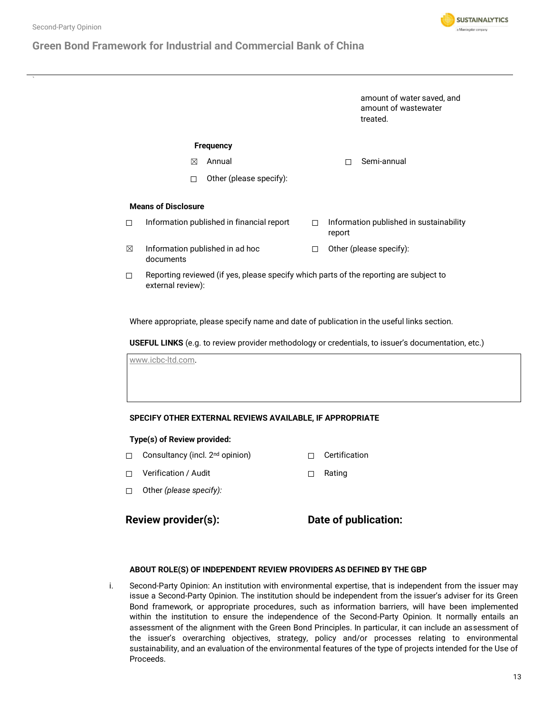### **Green Bond Framework for Industrial and**

| strial and Commercial Bank of China |   |                                                                |  |
|-------------------------------------|---|----------------------------------------------------------------|--|
|                                     |   | amount of water saved, and<br>amount of wastewater<br>treated. |  |
| <b>Frequency</b><br>Annual<br>⊠     |   | Semi-annual<br>П                                               |  |
| Other (please specify):<br>П        |   |                                                                |  |
| sure                                |   |                                                                |  |
| published in financial report       | п | Information published in sustainability<br>-----               |  |

**SUSTAINALYTICS** a Morningstar company

- $\boxtimes$  Information published in ad hoc documents
- report

☐ Other (please specify):

 $\Box$  Reporting reviewed (if yes, please specify which parts of the reporting are subject to external review):

Where appropriate, please specify name and date of publication in the useful links section.

**USEFUL LINKS** (e.g. to review provider methodology or credentials, to issuer's documentation, etc.)

[www.icbc-ltd.com.](http://www.icbc-ltd.com/)

**Means of Disclosure**

□ Information published in

#### **SPECIFY OTHER EXTERNAL REVIEWS AVAILABLE, IF APPROPRIATE**

#### **Type(s) of Review provided:**

- □ Consultancy (incl. 2<sup>nd</sup> opinion) □ Certification
- ☐ Verification / Audit ☐ Rating
- ☐ Other *(please specify):*

### **Review provider(s): Date of publication:**

#### **ABOUT ROLE(S) OF INDEPENDENT REVIEW PROVIDERS AS DEFINED BY THE GBP**

i. Second-Party Opinion: An institution with environmental expertise, that is independent from the issuer may issue a Second-Party Opinion. The institution should be independent from the issuer's adviser for its Green Bond framework, or appropriate procedures, such as information barriers, will have been implemented within the institution to ensure the independence of the Second-Party Opinion. It normally entails an assessment of the alignment with the Green Bond Principles. In particular, it can include an assessment of the issuer's overarching objectives, strategy, policy and/or processes relating to environmental sustainability, and an evaluation of the environmental features of the type of projects intended for the Use of Proceeds.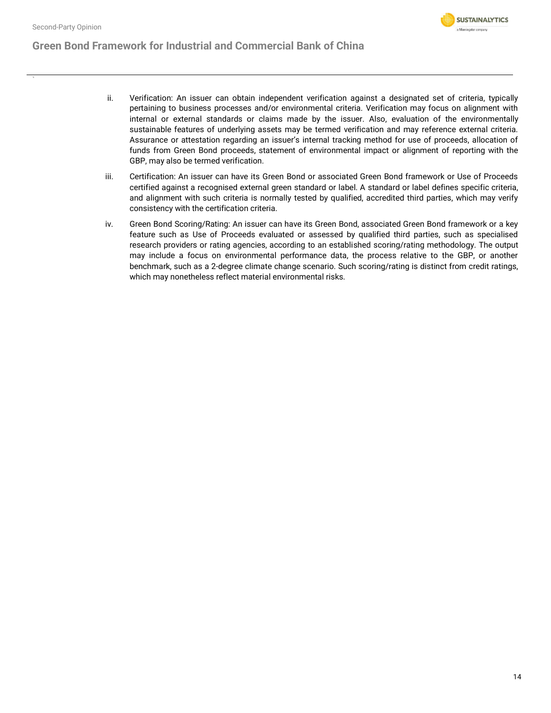

- ii. Verification: An issuer can obtain independent verification against a designated set of criteria, typically pertaining to business processes and/or environmental criteria. Verification may focus on alignment with internal or external standards or claims made by the issuer. Also, evaluation of the environmentally sustainable features of underlying assets may be termed verification and may reference external criteria. Assurance or attestation regarding an issuer's internal tracking method for use of proceeds, allocation of funds from Green Bond proceeds, statement of environmental impact or alignment of reporting with the GBP, may also be termed verification.
- iii. Certification: An issuer can have its Green Bond or associated Green Bond framework or Use of Proceeds certified against a recognised external green standard or label. A standard or label defines specific criteria, and alignment with such criteria is normally tested by qualified, accredited third parties, which may verify consistency with the certification criteria.
- iv. Green Bond Scoring/Rating: An issuer can have its Green Bond, associated Green Bond framework or a key feature such as Use of Proceeds evaluated or assessed by qualified third parties, such as specialised research providers or rating agencies, according to an established scoring/rating methodology. The output may include a focus on environmental performance data, the process relative to the GBP, or another benchmark, such as a 2-degree climate change scenario. Such scoring/rating is distinct from credit ratings, which may nonetheless reflect material environmental risks.

**SUSTAINALYTICS** a Morningstar company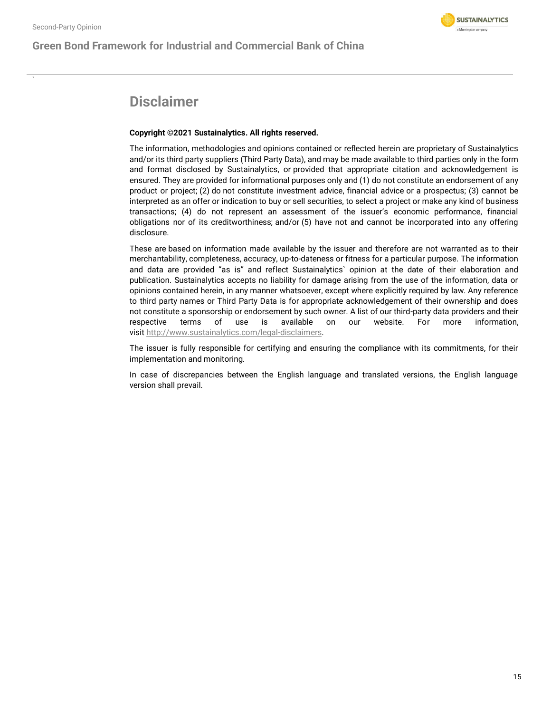### **Green Bond Framework for Industrial and Commercial Bank of China**



### **Disclaimer**

#### **Copyright ©2021 Sustainalytics. All rights reserved.**

The information, methodologies and opinions contained or reflected herein are proprietary of Sustainalytics and/or its third party suppliers (Third Party Data), and may be made available to third parties only in the form and format disclosed by Sustainalytics, or provided that appropriate citation and acknowledgement is ensured. They are provided for informational purposes only and (1) do not constitute an endorsement of any product or project; (2) do not constitute investment advice, financial advice or a prospectus; (3) cannot be interpreted as an offer or indication to buy or sell securities, to select a project or make any kind of business transactions; (4) do not represent an assessment of the issuer's economic performance, financial obligations nor of its creditworthiness; and/or (5) have not and cannot be incorporated into any offering disclosure.

These are based on information made available by the issuer and therefore are not warranted as to their merchantability, completeness, accuracy, up-to-dateness or fitness for a particular purpose. The information and data are provided "as is" and reflect Sustainalytics` opinion at the date of their elaboration and publication. Sustainalytics accepts no liability for damage arising from the use of the information, data or opinions contained herein, in any manner whatsoever, except where explicitly required by law. Any reference to third party names or Third Party Data is for appropriate acknowledgement of their ownership and does not constitute a sponsorship or endorsement by such owner. A list of our third-party data providers and their respective terms of use is available on our website. For more information, visit [http://www.sustainalytics.com/legal-disclaimers.](http://www.sustainalytics.com/legal-disclaimers)

The issuer is fully responsible for certifying and ensuring the compliance with its commitments, for their implementation and monitoring.

In case of discrepancies between the English language and translated versions, the English language version shall prevail.